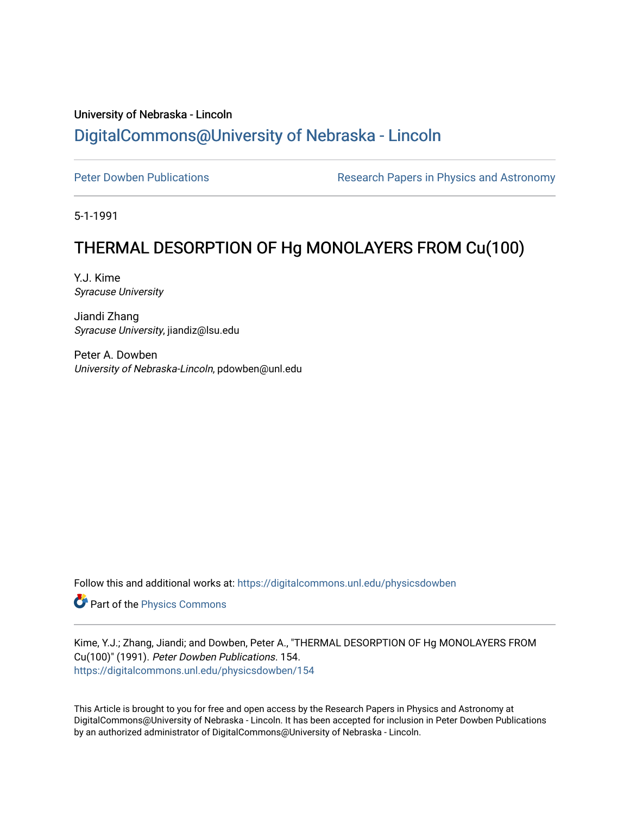## University of Nebraska - Lincoln [DigitalCommons@University of Nebraska - Lincoln](https://digitalcommons.unl.edu/)

[Peter Dowben Publications](https://digitalcommons.unl.edu/physicsdowben) **Research Papers in Physics and Astronomy** 

5-1-1991

# THERMAL DESORPTION OF Hg MONOLAYERS FROM Cu(100)

Y.J. Kime Syracuse University

Jiandi Zhang Syracuse University, jiandiz@lsu.edu

Peter A. Dowben University of Nebraska-Lincoln, pdowben@unl.edu

Follow this and additional works at: [https://digitalcommons.unl.edu/physicsdowben](https://digitalcommons.unl.edu/physicsdowben?utm_source=digitalcommons.unl.edu%2Fphysicsdowben%2F154&utm_medium=PDF&utm_campaign=PDFCoverPages) 

Part of the [Physics Commons](http://network.bepress.com/hgg/discipline/193?utm_source=digitalcommons.unl.edu%2Fphysicsdowben%2F154&utm_medium=PDF&utm_campaign=PDFCoverPages)

Kime, Y.J.; Zhang, Jiandi; and Dowben, Peter A., "THERMAL DESORPTION OF Hg MONOLAYERS FROM Cu(100)" (1991). Peter Dowben Publications. 154. [https://digitalcommons.unl.edu/physicsdowben/154](https://digitalcommons.unl.edu/physicsdowben/154?utm_source=digitalcommons.unl.edu%2Fphysicsdowben%2F154&utm_medium=PDF&utm_campaign=PDFCoverPages) 

This Article is brought to you for free and open access by the Research Papers in Physics and Astronomy at DigitalCommons@University of Nebraska - Lincoln. It has been accepted for inclusion in Peter Dowben Publications by an authorized administrator of DigitalCommons@University of Nebraska - Lincoln.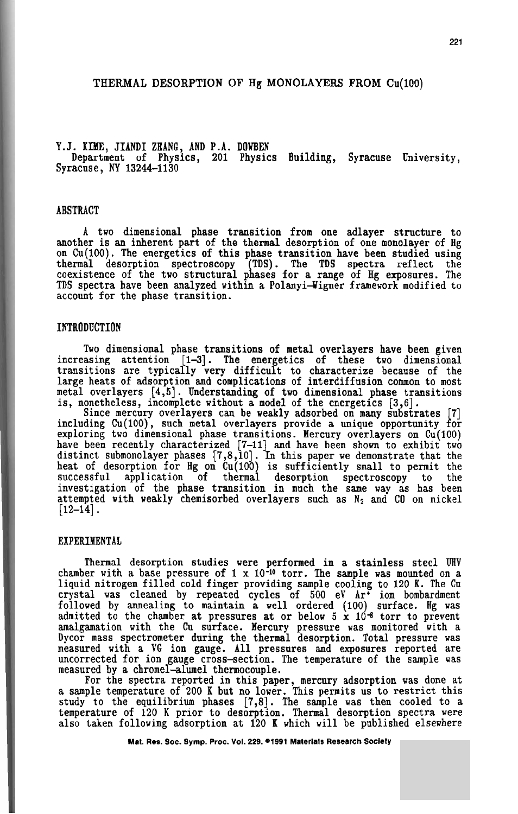#### **THERMAL DESORPTION OF Hg MONOLAYERS FROM** Cu(100)

### Y.J. KIME, JIANDI ZHANG, AND P.A. DOWBEN<br>\_ Department of Physics, 201 Physics Building, Syracuse University, Syracuse, **NY** 13244-1130

#### ABSTRACT

A two dimensional phase transition from one adlayer structure to another is an inherent part of the thermal desorption of one monolayer of Hg on  $Cu(100)$ . The energetics of this phase transition have been studied using on Cu(100). The energetics of this phase transition have been studied using<br>thermal desorption spectroscopy (TDS). The TDS spectra reflect the<br>coexistence of the two structural phases for a range of Hg exposures. The TDS spectra have been analyzed within a Polanyi-Wigner framework modified to account for the phase transition.

#### INTRODUCTION

Two dimensional phase transitions of metal overlayers have been given increasing attention [1-3]. The energetics of these two dimensional transitions are typically very difficult to characterize because of the large heats of adsorption and complications of interdiffusion common to most large heats of adsorption and complications of interdiffusion common to most metal overlayers [4,5]. Understanding of two dimensional phase transitions is, nonetheless, incomplete without a model of the energetics **[3,6].** 

Since mercury overlayers can be weakly adsorbed on many substrates [7]<br>including Cu(100), such metal overlayers provide a unique opportunity for exploring two dimensional phase transitions. Mercury overlayers on Cu(100) have been recently characterized [7-11] and have been shown to exhibit two<br>distinct submonolayer phases [7,8,10]. In this paper we demonstrate that the<br>heat of desorption for Hg on Cu(100) is sufficiently small to permit t successful application of thermal desorption spectroscopy to the investigation of the phase transition in much the same way as has been attempted with weakly chemisorbed overlayers such as N<sub>2</sub> and CO on nickel [12-14].

#### EXPERIMENTAL

Thermal desorption studies were performed in a stainless steel **UHV**  liquid nitrogen filled cold finger providing sample cooling to 120 K. The Cu crystal was cleaned by repeated cycles of 500 eV Art ion bombardment followed by annealing to maintain a well ordered (100) surface. Hg was admitted to the chamber at pressures at or below 5 x 10-8 torr to prevent amalgamation with the Cu surface. Mercury pressure was monitored vith a Dycor mass spectrometer during the thermal desorption. Total pressure was measured with a **VG** ion gauge. All pressures and exposures reported are uncorrected for ion gauge cross-section. The temperature of the sample was measured by a chromel-alunel thermocouple.

For the spectra reported in this paper, mercury adsorption was done at a sample temperature of 200 K but no lower. This permits us to restrict this study to the equilibrium phases [7,8]. The sample was then cooled to a temperature of 120 K prior to desorption. Thermal desorption spectra were also taken following adsorption at 120 K which will be published elsewhere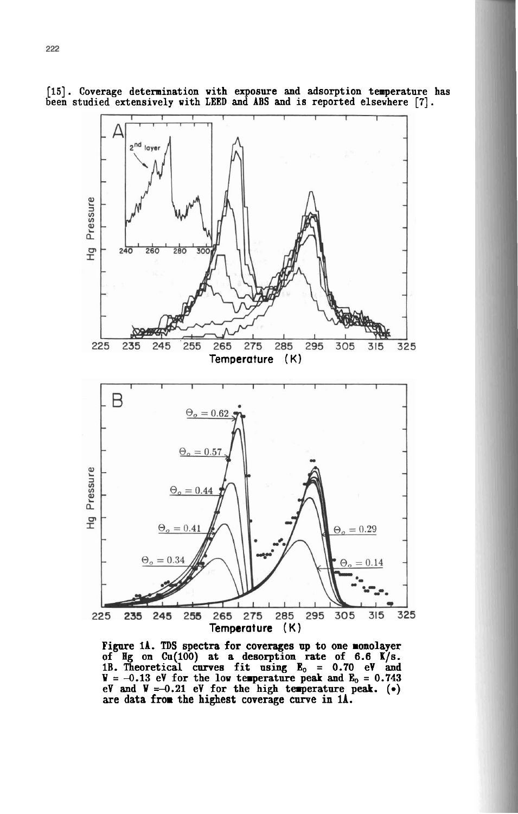

**[15].** Coverage determination with exposure and adsorption temperature has been studied extensively with LEED and **ABS** and is reported elsewhere **[7].** 

Figure **11. TDS** spectra for coverages **up** to one monolayer of **Hg** on **Cn(100)** at a desorption rate of 6.6 1/13. **1B.** Theoretical curves fit using **E,** = 0.70 eV and  $W = -0.13$  eV for the low temperature peak and  $E_0 = 0.743$ eV and **W =-0.21** eV for the high terperature peak. **(a)**  are data from the highest coverage curve in **lA.**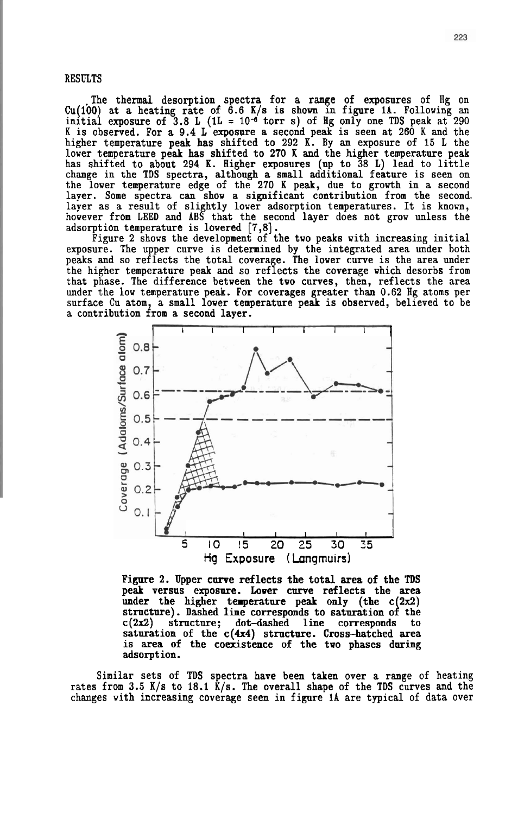#### **RESULTS**

The thermal desorption spectra for a range of exposures of Hg on Cu(100) at a heating rate of 6.6 K/s is shown in figure 1A. Following an initial exposure of 3.8 L (1L =  $10^{-6}$  torr s) of Hg only one TDS peak at 290 K is observed. For a 9.4 L exposure a second peak is seen at 260 K and the higher temperature peak has shifted to 292 K. By an exposure of 15 L the lower temperature peak has shifted to 270 K and the higher temperature peak has shifted to about 294 K. Higher exposures (up to 38 L) lead to little change in the **TDS** spectra, although a small additional feature is seen on the lower temperature edge of the 270 K peak, due to growth in a second layer. Some spectra can show a significant contribution from the second layer as a result of slightly lower adsorption temperatures. It is known, however from LEED and ABS that the second layer does not grow unless the adsorption temperature is lowered  $[7,8]$ .<br>Figure 2 shows the development of the two peaks with increasing initial

exposure. The upper curve is determined by the integrated area under both peaks and so reflects the total coverage. The lower curve is the area under the higher temperature peak and so reflects the coverage which desorbs from that phase. The difference between the two curves, then, reflects the area that phase. The difference between the two curves, then, reflects the area under the low temperature peak. For coverages greater than 0.62 Hg atoms per surface Cu atom, a small lower temperature peak is observed, believed to be a contribution from a second layer.



Figure 2. Upper curve reflects the total area of the **TDS**  peak versus exposure. Lower curve reflects the area under the higher temperature peak only (the  $c(2x2)$ ) structure). Dashed line corresponds to saturation of the  $c(2x2)$  structure; dot-dashed line corresponds to saturation of the  $c(4x4)$  structure. Cross-hatched area is area of the coexistence of the tvo phases during adsorption.

Similar sets of TDS spectra have been taken over a range of heating rates from 3.5 K/s to 18.1  $\bar{k}/s$ . The overall shape of the TDS curves and the changes with increasing coverage seen in figure **1A** are typical of data over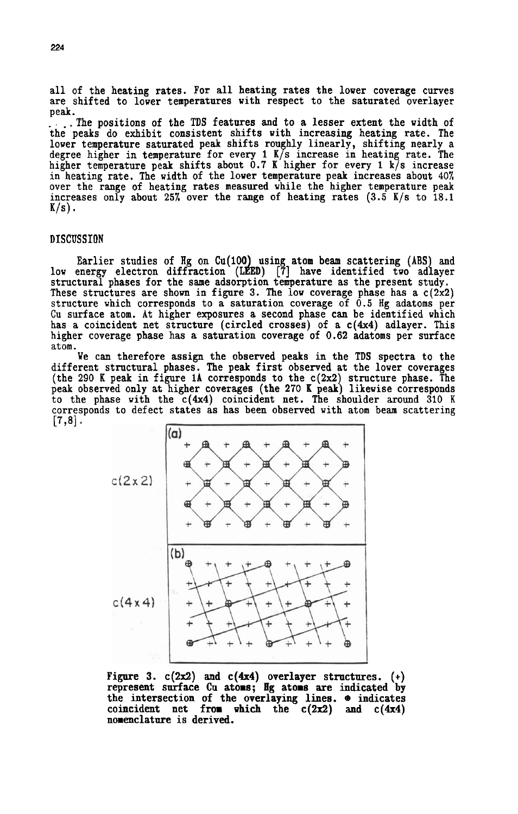all of the heating rates. For all heating rates the lower coverage curves are shifted to lower temperatures with respect to the saturated overlayer peak.

... The positions of the TDS features and to a lesser extent the width of the peaks do exhibit consistent shifts with increasing heating rate. The lower temperature saturated peak shifts roughly linearly, shifting nearly a degree higher in temperature for every 1 **K/s** increase in heating rate. The higher temperature peak shifts about 0.7 K higher for every 1 k/s increase<br>in heating rate. The width of the lower temperature peak increases about  $40\%$ over the range of heating rates measured while the higher temperature peak increases only about 25% over the range of heating rates  $(3.5 K/s)$  to 18.1  $K/s$ ).

#### DISCUSSION

Earlier studies of Hg on Cu(100) using atom beam scattering (ABS) and<br>low energy electron diffraction (LEED) [7] have identified two adlayer These structures are shown in figure 3. The low coverage phase has a  $c(2x2)$ structure which corresponds to a saturation coverage of 0.5 Hg adatoms per Cu surface atom. At higher exposures a second phase can be identified which has a coincident net structure (circled crosses) of a  $c(4x4)$  adlayer. This higher coverage phase has a saturation coverage of 0.62 adatoms per surface atom.

We can therefore assign the observed peaks in the TDS spectra to the different structural phases. The peak first observed at the lower coverages (the 290 K peak in figure 1A corresponds to the  $c(2x2)$  structure phase. The peak observed only at higher coverages (the 270 K peak) likewise corresponds to the phase with the  $c(4x4)$  coincident net. The shoulder around 310 K corresponds to defect states as has been observed with atom beam scattering  $\lceil 7, 8 \rceil$ .



Figure 3.  $c(2x2)$  and  $c(4x4)$  overlayer structures. represent surface **Cu** atoms; Hg atoms **are** indicated by the intersection of the overlaying lines. **e** indicates coincident net from which the  $c(2x2)$  and  $c(4x4)$ nomenclatnre is derived.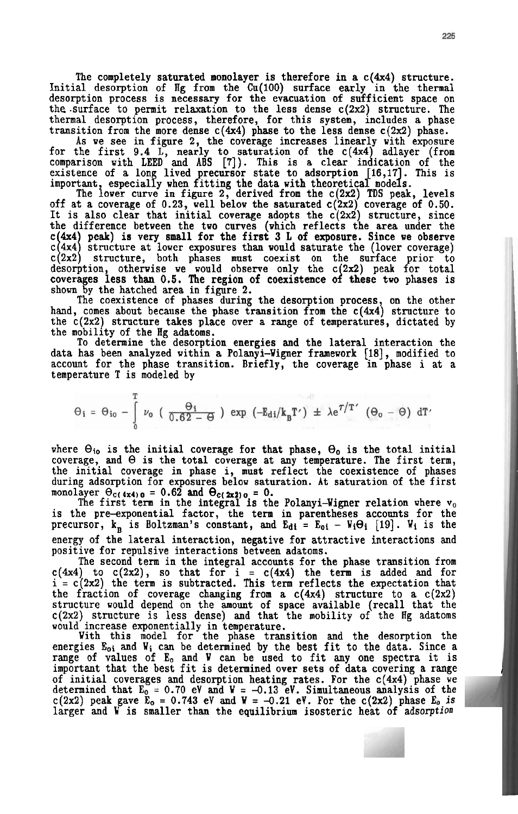The completely saturated monolayer is therefore in a  $c(4x4)$  structure. Initial desorption of Hg from the Cu(100) surface early in the thermal desorption process is necessary for the evacuation of sufficient space on the surface to permit relaxation to the less dense  $c(2x2)$  structure. The thermal desorption process, therefore, for this system, includes a phase transition from the more dense  $c(4x4)$  phase to the less dense  $c(2x2)$  phase.

As we see in figure 2, the coverage increases linearly with exposure for the first 9.4 L, nearly to saturation of the  $c(4x4)$  adlayer (from comparison with LEED and ABS [7]). This is a clear indication of the existence of a long lived precursor state to adsorption [16,17]. This is

important, especially when fitting the data with theoretical models.<br>The lower curve in figure 2, derived from the c(2x2) TDS peak, levels off at a coverage of 0.23, well below the saturated  $c(2x2)$  coverage of 0.50. It is also clear that initial coverage adopts the  $c'(2x^2)$  structure, since the difference between the two curves (which reflects the area under the the difference between the two curves (which reflects the area under the  $c(4x4)$  peak) is very small for the first 3 L of exposure. Since we observe  $c(4x4)$  structure at lower exposures than would saturate the (lower co shown by the hatched area in figure 2.

The coexistence of phases during the desorption process, on the other hand, comes about because the phase transition from the  $c(4x4)$  structure to the  $c(2x2)$  structure takes place over a range of temperatures, dictated by the mobility of the Hg adatoms.

To determine the desorption energies and the lateral interaction the data has been analyzed within a Polanyi-Wigner framework **[18],** modified to account for the phase transition. Briefly, the coverage in phase i at a temperature T is modeled by

$$
\Theta_i = \Theta_{i0} - \int_{0}^{1} \nu_0 \left( \frac{\Theta_i}{0.62 - \Theta} \right) \exp \left( -E_{di} / k_B T' \right) \pm \lambda e^{7/T'} \left( \Theta_0 - \Theta \right) dT'
$$

where  $\Theta_{i_0}$  is the initial coverage for that phase,  $\Theta_0$  is the total initial coverage, and  $\Theta$  is the total coverage at any temperature. The first term, the initial coverage in phase i, must reflect the coexistence of phases during adsorption for exposures below saturation. At saturation of the first monolayer  $\Theta_c$ ( 4x4) o = 0.62 and  $\Theta_c$ ( 2x2) = 0.<br>
The first term in the integral is the Polanyi-Wigner relation where v<sub>o</sub><br>
The first term in the integral is the Polanyi-Wigner relation where v<sub>o</sub>

is the pre-exponential factor, the term in parentheses accounts for the precursor,  $k_B$  is Boltzman's constant, and  $E_{di} = E_{oi} - V_i \Theta_i$  [19].  $V_i$  is the energy of the lateral interaction, negative for attractive interactions and positive for repulsive interactions between adatoms.

The second term in the integral accounts for the phase transition from  $c(4x4)$  to  $c(2x2)$ , so that for  $i = c(4x4)$  the term is added and for  $i = c(2x^2)$  the term is subtracted. This term reflects the expectation that the fraction of coverage changing from a  $c(4x4)$  structure to a  $c(2x2)$ structure would depend on the amount of space available (recall that the  $c(2x2)$  structure is less dense) and that the mobility of the Hg adatoms would increase exponentially in temperature.

With this model for the phase transition and the desorption the energies E<sub>oi</sub> and W<sub>i</sub> can be determined by the best fit to the data. Since a range of values of E<sub>o</sub> and W can be used to fit any one spectra it is important that the best fit is determined over sets of data covering a r of initial coverages and desorption heating rates. For the  $c(4x4)$  phase we determined that E<sub>0</sub> = 0.70 eV and W = -0.13 eV. Simultaneous analysis of the<br>c(2x2) peak gave E<sub>0</sub> = 0.743 eV and W = -0.21 eV. For the c(2x2) phase E<sub>0</sub> is<br>larger and W is smaller than the equilibrium isosteric heat of a